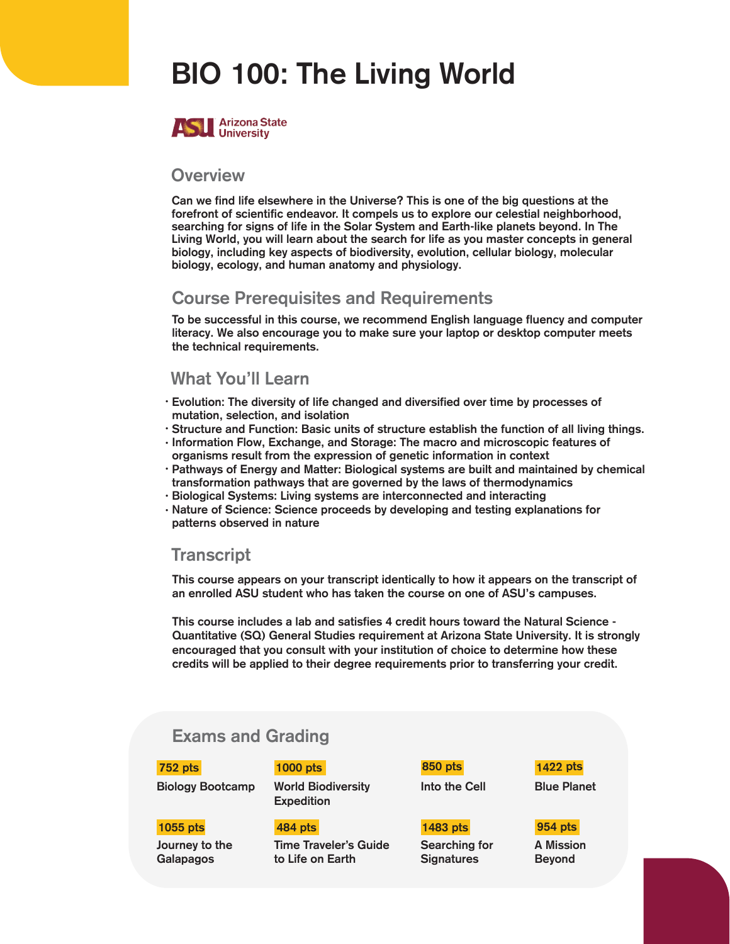# BIO 100: The Living World



#### **Overview**

Can we find life elsewhere in the Universe? This is one of the big questions at the forefront of scientific endeavor. It compels us to explore our celestial neighborhood, searching for signs of life in the Solar System and Earth-like planets beyond. In The Living World, you will learn about the search for life as you master concepts in general biology, including key aspects of biodiversity, evolution, cellular biology, molecular biology, ecology, and human anatomy and physiology.

## **Course Prerequisites and Requirements**

To be successful in this course, we recommend English language fluency and computer literacy. We also encourage you to make sure your laptop or desktop computer meets the technical requirements.

#### What You'll Learn

- Evolution: The diversity of life changed and diversified over time by processes of mutation, selection, and isolation
- Structure and Function: Basic units of structure establish the function of all living things.
- $\cdot$  Information Flow, Exchange, and Storage: The macro and microscopic features of organisms result from the expression of genetic information in context
- $\cdot$  Pathways of Energy and Matter: Biological systems are built and maintained by chemical transformation pathways that are governed by the laws of thermodynamics
- Biological Systems: Living systems are interconnected and interacting •
- · Nature of Science: Science proceeds by developing and testing explanations for patterns observed in nature

#### **Transcript**

This course appears on your transcript identically to how it appears on the transcript of an enrolled ASU student who has taken the course on one of ASU's campuses.

This course includes a lab and satisfies 4 credit hours toward the Natural Science - Quantitative (SQ) General Studies requirement at Arizona State University. It is strongly encouraged that you consult with your institution of choice to determine how these credits will be applied to their degree requirements prior to transferring your credit.

### Exams and Grading

752 pts 1000 pts

Journey to the Galapagos

1055 pts 484 pts

Biology Bootcamp World Biodiversity Expedition

> Time Traveler's Guide to Life on Earth

Into the Cell 850 pts

Searching for **Signatures** 1483 pts

1422 pts

Blue Planet

A Mission Beyond 954 pts